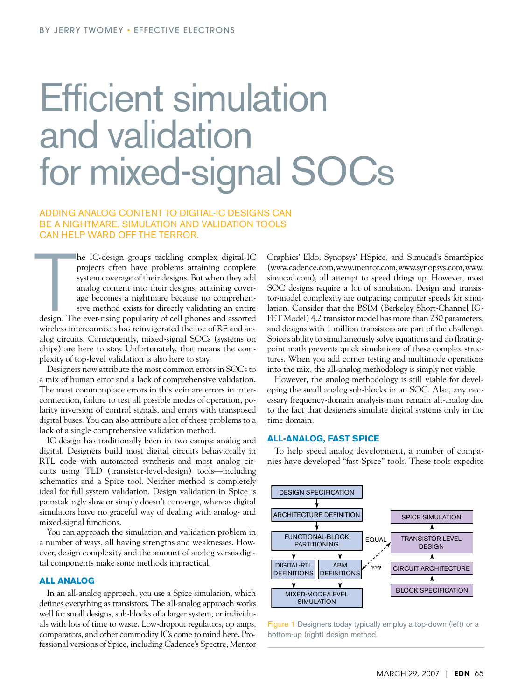# Efficient simulation and validation for mixed-signal SOCs

## Adding analog content to digital-IC designs can be a nightmare. Simulation and validation tools can help ward off the terror.

The design. The design. The contract of the state of the state of the state of the state of the state of the state of the state of the state of the state of the state of the state of the state of the state of the state of he IC-design groups tackling complex digital-IC projects often have problems attaining complete system coverage of their designs. But when they add analog content into their designs, attaining coverage becomes a nightmare because no comprehensive method exists for directly validating an entire design. The ever-rising popularity of cell phones and assorted wireless interconnects has reinvigorated the use of RF and analog circuits. Consequently, mixed-signal SOCs (systems on chips) are here to stay. Unfortunately, that means the complexity of top-level validation is also here to stay.

Designers now attribute the most common errors in SOCs to a mix of human error and a lack of comprehensive validation. The most commonplace errors in this vein are errors in interconnection, failure to test all possible modes of operation, polarity inversion of control signals, and errors with transposed digital buses. You can also attribute a lot of these problems to a lack of a single comprehensive validation method.

IC design has traditionally been in two camps: analog and digital. Designers build most digital circuits behaviorally in RTL code with automated synthesis and most analog circuits using TLD (transistor-level-design) tools—including schematics and a Spice tool. Neither method is completely ideal for full system validation. Design validation in Spice is painstakingly slow or simply doesn't converge, whereas digital simulators have no graceful way of dealing with analog- and mixed-signal functions.

You can approach the simulation and validation problem in a number of ways, all having strengths and weaknesses. However, design complexity and the amount of analog versus digital components make some methods impractical.

#### **All analog**

In an all-analog approach, you use a Spice simulation, which defines everything as transistors. The all-analog approach works well for small designs, sub-blocks of a larger system, or individuals with lots of time to waste. Low-dropout regulators, op amps, comparators, and other commodity ICs come to mind here. Professional versions of Spice, including Cadence's Spectre, Mentor

Graphics' Eldo, Synopsys' HSpice, and Simucad's SmartSpice (www.cadence.com, www.mentor.com, www.synopsys.com, www. simucad.com), all attempt to speed things up. However, most SOC designs require a lot of simulation. Design and transistor-model complexity are outpacing computer speeds for simulation. Consider that the BSIM (Berkeley Short-Channel IG-FET Model) 4.2 transistor model has more than 230 parameters, and designs with 1 million transistors are part of the challenge. Spice's ability to simultaneously solve equations and do floatingpoint math prevents quick simulations of these complex structures. When you add corner testing and multimode operations into the mix, the all-analog methodology is simply not viable.

However, the analog methodology is still viable for developing the small analog sub-blocks in an SOC. Also, any necessary frequency-domain analysis must remain all-analog due to the fact that designers simulate digital systems only in the time domain.

#### **All-analog, fast Spice**

To help speed analog development, a number of companies have developed "fast-Spice" tools. These tools expedite



Figure 1 Designers today typically employ a top-down (left) or a bottom-up (right) design method.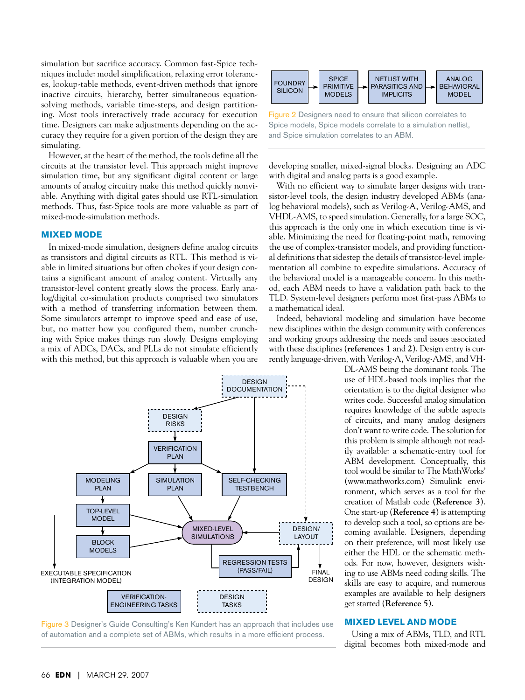simulation but sacrifice accuracy. Common fast-Spice techniques include: model simplification, relaxing error tolerances, lookup-table methods, event-driven methods that ignore inactive circuits, hierarchy, better simultaneous equationsolving methods, variable time-steps, and design partitioning. Most tools interactively trade accuracy for execution time. Designers can make adjustments depending on the accuracy they require for a given portion of the design they are simulating.

However, at the heart of the method, the tools define all the circuits at the transistor level. This approach might improve simulation time, but any significant digital content or large amounts of analog circuitry make this method quickly nonviable. Anything with digital gates should use RTL-simulation methods. Thus, fast-Spice tools are more valuable as part of mixed-mode-simulation methods.

### **Mixed mode**

In mixed-mode simulation, designers define analog circuits as transistors and digital circuits as RTL. This method is vi- al defini able in limited situations but often chokes if your design contains a significant amount of analog content. Virtually any transistor-level content greatly slows the process. Early analog/digital co-simulation products comprised two simulators with a method of transferring information between them. Some simulators attempt to improve speed and ease of use, but, no matter how you configured them, number crunching with Spice makes things run slowly. Designs employing a mix of ADCs, DACs, and PLLs do not simulate efficiently with this method, but this approach is valuable when you are







Figure 2 Designers need to ensure that silicon correlates to Spice models, Spice models correlate to a simulation netlist, and Spice simulation correlates to an ABM.

developing smaller, mixed-signal blocks. Designing an ADC with digital and analog parts is a good example.

With no efficient way to simulate larger designs with transistor-level tools, the design industry developed ABMs (analog behavioral models), such as Verilog-A, Verilog-AMS, and VHDL-AMS, to speed simulation. Generally, for a large SOC, this approach is the only one in which execution time is viable. Minimizing the need for floating-point math, removing the use of complex-transistor models, and providing functional definitions that sidestep the details of transistor-level implementation all combine to expedite simulations. Accuracy of the behavioral model is a manageable concern. In this method, each ABM needs to have a validation path back to the TLD. System-level designers perform most first-pass ABMs to a mathematical ideal.

Indeed, behavioral modeling and simulation have become new disciplines within the design community with conferences and working groups addressing the needs and issues associated with these disciplines (**references 1** and **2**). Design entry is currently language-driven, with Verilog-A, Verilog-AMS, and VH-

> DL-AMS being the dominant tools. The use of HDL-based tools implies that the orientation is to the digital designer who writes code. Successful analog simulation requires knowledge of the subtle aspects of circuits, and many analog designers don't want to write code. The solution for this problem is simple although not readily available: a schematic-entry tool for ABM development. Conceptually, this tool would be similar to The MathWorks' (www.mathworks.com) Simulink environment, which serves as a tool for the creation of Matlab code (**Reference 3**). One start-up (**Reference 4**) is attempting to develop such a tool, so options are becoming available. Designers, depending on their preference, will most likely use either the HDL or the schematic methods. For now, however, designers wishing to use ABMs need coding skills. The skills are easy to acquire, and numerous examples are available to help designers get started (**Reference 5**).

#### **Mixed level and mode**

Using a mix of ABMs, TLD, and RTL digital becomes both mixed-mode and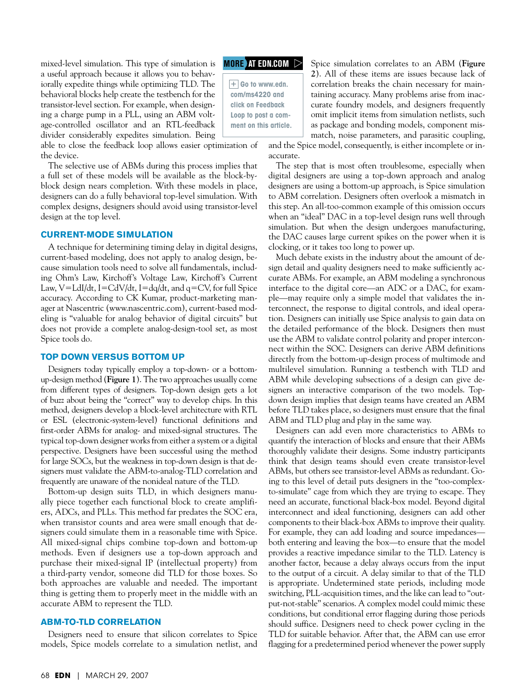mixed-level simulation. This type of simulation is a useful approach because it allows you to behaviorally expedite things while optimizing TLD. The behavioral blocks help create the testbench for the transistor-level section. For example, when designing a charge pump in a PLL, using an ABM voltage-controlled oscillator and an RTL-feedback divider considerably expedites simulation. Being

able to close the feedback loop allows easier optimization of the device.

The selective use of ABMs during this process implies that a full set of these models will be available as the block-byblock design nears completion. With these models in place, designers can do a fully behavioral top-level simulation. With complex designs, designers should avoid using transistor-level design at the top level.

#### **Current-mode simulation**

A technique for determining timing delay in digital designs, current-based modeling, does not apply to analog design, because simulation tools need to solve all fundamentals, including Ohm's Law, Kirchoff's Voltage Law, Kirchoff's Current Law, V=LdI/dt, I=CdV/dt, I=dq/dt, and  $q=CV$ , for full Spice accuracy. According to CK Kumar, product-marketing manager at Nascentric (www.nascentric.com), current-based modeling is "valuable for analog behavior of digital circuits" but does not provide a complete analog-design-tool set, as most Spice tools do.

#### **Top down versus bottom up**

Designers today typically employ a top-down- or a bottomup-design method (**Figure 1**). The two approaches usually come from different types of designers. Top-down design gets a lot of buzz about being the "correct" way to develop chips. In this method, designers develop a block-level architecture with RTL or ESL (electronic-system-level) functional definitions and first-order ABMs for analog- and mixed-signal structures. The typical top-down designer works from either a system or a digital perspective. Designers have been successful using the method for large SOCs, but the weakness in top-down design is that designers must validate the ABM-to-analog-TLD correlation and frequently are unaware of the nonideal nature of the TLD.

Bottom-up design suits TLD, in which designers manually piece together each functional block to create amplifiers, ADCs, and PLLs. This method far predates the SOC era, when transistor counts and area were small enough that designers could simulate them in a reasonable time with Spice. All mixed-signal chips combine top-down and bottom-up methods. Even if designers use a top-down approach and purchase their mixed-signal IP (intellectual property) from a third-party vendor, someone did TLD for those boxes. So both approaches are valuable and needed. The important thing is getting them to properly meet in the middle with an accurate ABM to represent the TLD.

#### **ABM-to-TLD correlation**

Designers need to ensure that silicon correlates to Spice models, Spice models correlate to a simulation netlist, and

## **MORE AT EDN.COM**

 $\overline{+}$  Go to www.edn. **com/ms4220 and click on Feedback Loop to post a comment on this article.** Spice simulation correlates to an ABM (**Figure 2**). All of these items are issues because lack of correlation breaks the chain necessary for maintaining accuracy. Many problems arise from inaccurate foundry models, and designers frequently omit implicit items from simulation netlists, such as package and bonding models, component mismatch, noise parameters, and parasitic coupling,

and the Spice model, consequently, is either incomplete or inaccurate.

The step that is most often troublesome, especially when digital designers are using a top-down approach and analog designers are using a bottom-up approach, is Spice simulation to ABM correlation. Designers often overlook a mismatch in this step. An all-too-common example of this omission occurs when an "ideal" DAC in a top-level design runs well through simulation. But when the design undergoes manufacturing, the DAC causes large current spikes on the power when it is clocking, or it takes too long to power up.

Much debate exists in the industry about the amount of design detail and quality designers need to make sufficiently accurate ABMs. For example, an ABM modeling a synchronous interface to the digital core—an ADC or a DAC, for example—may require only a simple model that validates the interconnect, the response to digital controls, and ideal operation. Designers can initially use Spice analysis to gain data on the detailed performance of the block. Designers then must use the ABM to validate control polarity and proper interconnect within the SOC. Designers can derive ABM definitions directly from the bottom-up-design process of multimode and multilevel simulation. Running a testbench with TLD and ABM while developing subsections of a design can give designers an interactive comparison of the two models. Topdown design implies that design teams have created an ABM before TLD takes place, so designers must ensure that the final ABM and TLD plug and play in the same way.

Designers can add even more characteristics to ABMs to quantify the interaction of blocks and ensure that their ABMs thoroughly validate their designs. Some industry participants think that design teams should even create transistor-level ABMs, but others see transistor-level ABMs as redundant. Going to this level of detail puts designers in the "too-complexto-simulate" cage from which they are trying to escape. They need an accurate, functional black-box model. Beyond digital interconnect and ideal functioning, designers can add other components to their black-box ABMs to improve their quality. For example, they can add loading and source impedances both entering and leaving the box—to ensure that the model provides a reactive impedance similar to the TLD. Latency is another factor, because a delay always occurs from the input to the output of a circuit. A delay similar to that of the TLD is appropriate. Undetermined state periods, including mode switching, PLL-acquisition times, and the like can lead to "output-not-stable" scenarios. A complex model could mimic these conditions, but conditional error flagging during those periods should suffice. Designers need to check power cycling in the TLD for suitable behavior. After that, the ABM can use error flagging for a predetermined period whenever the power supply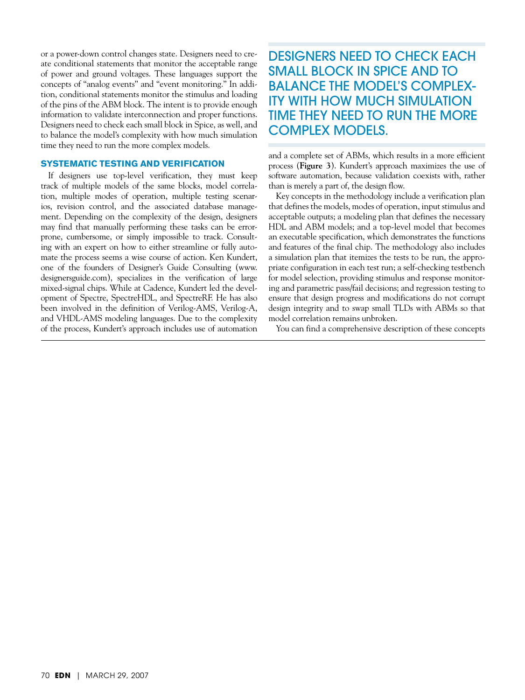or a power-down control changes state. Designers need to create conditional statements that monitor the acceptable range of power and ground voltages. These languages support the concepts of "analog events" and "event monitoring." In addition, conditional statements monitor the stimulus and loading of the pins of the ABM block. The intent is to provide enough information to validate interconnection and proper functions. Designers need to check each small block in Spice, as well, and to balance the model's complexity with how much simulation time they need to run the more complex models.

#### **Systematic testing and verification**

If designers use top-level verification, they must keep track of multiple models of the same blocks, model correlation, multiple modes of operation, multiple testing scenarios, revision control, and the associated database management. Depending on the complexity of the design, designers may find that manually performing these tasks can be errorprone, cumbersome, or simply impossible to track. Consulting with an expert on how to either streamline or fully automate the process seems a wise course of action. Ken Kundert, one of the founders of Designer's Guide Consulting (www. designersguide.com), specializes in the verification of large mixed-signal chips. While at Cadence, Kundert led the development of Spectre, SpectreHDL, and SpectreRF. He has also been involved in the definition of Verilog-AMS, Verilog-A, and VHDL-AMS modeling languages. Due to the complexity of the process, Kundert's approach includes use of automation

# DESIGNERS NEED TO CHECK EACH small block in Spice and to balance the model's complexity with how much simulation time they need to run the more complex models.

and a complete set of ABMs, which results in a more efficient process (**Figure 3**). Kundert's approach maximizes the use of software automation, because validation coexists with, rather than is merely a part of, the design flow.

Key concepts in the methodology include a verification plan that defines the models, modes of operation, input stimulus and acceptable outputs; a modeling plan that defines the necessary HDL and ABM models; and a top-level model that becomes an executable specification, which demonstrates the functions and features of the final chip. The methodology also includes a simulation plan that itemizes the tests to be run, the appropriate configuration in each test run; a self-checking testbench for model selection, providing stimulus and response monitoring and parametric pass/fail decisions; and regression testing to ensure that design progress and modifications do not corrupt design integrity and to swap small TLDs with ABMs so that model correlation remains unbroken.

You can find a comprehensive description of these concepts